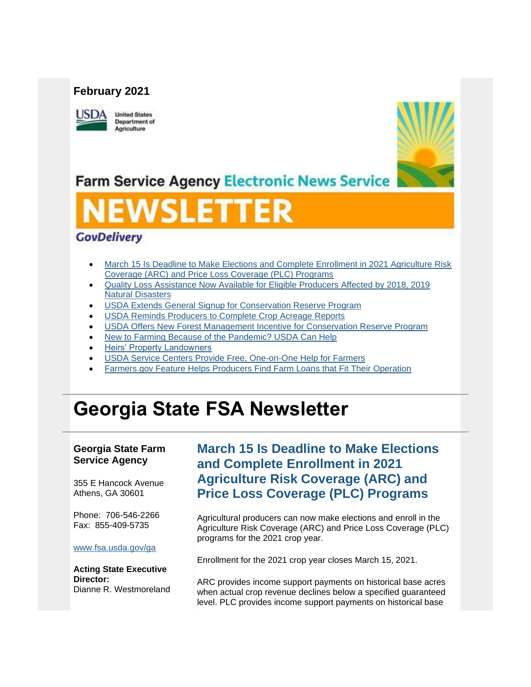### **February 2021**



**United States Department of** Agriculture



**Farm Service Agency Electronic News Service** 

# WSLETTER

## **GovDelivery**

- [March 15 Is Deadline to Make Elections and Complete Enrollment in 2021 Agriculture Risk](#page-0-0)  [Coverage \(ARC\) and Price Loss Coverage \(PLC\) Programs](#page-0-0)
- [Quality Loss Assistance Now Available for Eligible Producers Affected by 2018, 2019](#page-2-0)  [Natural Disasters](#page-2-0)
- **[USDA Extends General Signup for Conservation Reserve Program](#page-3-0)**
- [USDA Reminds Producers to Complete Crop Acreage Reports](#page-4-0)
- [USDA Offers New Forest Management Incentive](#page-5-0) for Conservation Reserve Program
- [New to Farming Because of the Pandemic? USDA Can Help](#page-5-1)
- [Heirs' Property Landowners](#page-6-0)
- [USDA Service Centers Provide Free, One-on-One Help for Farmers](#page-7-0)
- [Farmers.gov Feature Helps Producers Find Farm Loans that Fit Their Operation](#page-7-1)

## **Georgia State FSA Newsletter**

#### **Georgia State Farm Service Agency**

355 E Hancock Avenue Athens, GA 30601

Phone: 706-546-2266 Fax: 855-409-5735

#### [www.fsa.usda.gov/ga](https://gcc02.safelinks.protection.outlook.com/?url=http%3A%2F%2Fwww.fsa.usda.gov%2Fxx%3Futm_medium%3Demail%26utm_source%3Dgovdelivery&data=04%7C01%7C%7Ca57525926b4043d8e99808d8d4285a16%7Ced5b36e701ee4ebc867ee03cfa0d4697%7C0%7C0%7C637492617068544785%7CUnknown%7CTWFpbGZsb3d8eyJWIjoiMC4wLjAwMDAiLCJQIjoiV2luMzIiLCJBTiI6Ik1haWwiLCJXVCI6Mn0%3D%7C1000&sdata=8aBN1S6LLpx5g9mTblE913EyQAJ%2BcfnmduhcwGOV9V4%3D&reserved=0)

**Acting State Executive Director:** Dianne R. Westmoreland

## <span id="page-0-0"></span>**March 15 Is Deadline to Make Elections and Complete Enrollment in 2021 Agriculture Risk Coverage (ARC) and Price Loss Coverage (PLC) Programs**

Agricultural producers can now make elections and enroll in the Agriculture Risk Coverage (ARC) and Price Loss Coverage (PLC) programs for the 2021 crop year.

Enrollment for the 2021 crop year closes March 15, 2021.

ARC provides income support payments on historical base acres when actual crop revenue declines below a specified guaranteed level. PLC provides income support payments on historical base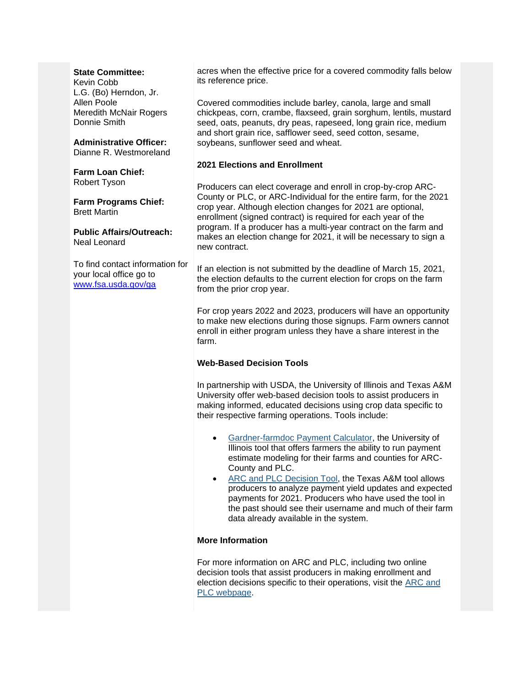#### **State Committee:**

Kevin Cobb L.G. (Bo) Herndon, Jr. Allen Poole Meredith McNair Rogers Donnie Smith

#### **Administrative Officer:** Dianne R. Westmoreland

**Farm Loan Chief:** Robert Tyson

**Farm Programs Chief:** Brett Martin

**Public Affairs/Outreach:** Neal Leonard

To find contact information for your local office go to [www.fsa.usda.gov/ga](http://www.fsa.usda.gov/ga)

acres when the effective price for a covered commodity falls below its reference price.

Covered commodities include barley, canola, large and small chickpeas, corn, crambe, flaxseed, grain sorghum, lentils, mustard seed, oats, peanuts, dry peas, rapeseed, long grain rice, medium and short grain rice, safflower seed, seed cotton, sesame, soybeans, sunflower seed and wheat.

#### **2021 Elections and Enrollment**

Producers can elect coverage and enroll in crop-by-crop ARC-County or PLC, or ARC-Individual for the entire farm, for the 2021 crop year. Although election changes for 2021 are optional, enrollment (signed contract) is required for each year of the program. If a producer has a multi-year contract on the farm and makes an election change for 2021, it will be necessary to sign a new contract.

If an election is not submitted by the deadline of March 15, 2021, the election defaults to the current election for crops on the farm from the prior crop year.

For crop years 2022 and 2023, producers will have an opportunity to make new elections during those signups. Farm owners cannot enroll in either program unless they have a share interest in the farm.

#### **Web-Based Decision Tools**

In partnership with USDA, the University of Illinois and Texas A&M University offer web-based decision tools to assist producers in making informed, educated decisions using crop data specific to their respective farming operations. Tools include:

- [Gardner-farmdoc Payment Calculator,](https://gcc02.safelinks.protection.outlook.com/?data=04%7C01%7C%7C7927dde7a5a140fd9e4108d87c2778f1%7Ced5b36e701ee4ebc867ee03cfa0d4697%7C0%7C0%7C637395856261304709%7CUnknown%7CTWFpbGZsb3d8eyJWIjoiMC4wLjAwMDAiLCJQIjoiV2luMzIiLCJBTiI6Ik1haWwiLCJXVCI6Mn0%3D%7C1000&reserved=0&sdata=UuxxjcKvMO4DFsGqxOrxogQBPMAdQr7ZGO0NA0eiVa0%3D&url=https%3A%2F%2Ffarmdocdaily.illinois.edu%2F2019%2F08%2Fintroducing-the-gardner-farmdoc-payment-calculator.html%3Futm_medium%3Demail%26utm_source%3Dgovdelivery&utm_medium=email&utm_source=govdelivery) the University of Illinois tool that offers farmers the ability to run payment estimate modeling for their farms and counties for ARC-County and PLC.
- [ARC and PLC Decision Tool,](https://gcc02.safelinks.protection.outlook.com/?data=04%7C01%7C%7C7927dde7a5a140fd9e4108d87c2778f1%7Ced5b36e701ee4ebc867ee03cfa0d4697%7C0%7C0%7C637395856261314665%7CUnknown%7CTWFpbGZsb3d8eyJWIjoiMC4wLjAwMDAiLCJQIjoiV2luMzIiLCJBTiI6Ik1haWwiLCJXVCI6Mn0%3D%7C1000&reserved=0&sdata=OcD62mTpEITzyuI8DfbJvrDmeXWtt%2FYzVp9s5ngIyi0%3D&url=https%3A%2F%2Fwww.afpc.tamu.edu%2F%3Futm_medium%3Demail%26utm_source%3Dgovdelivery&utm_medium=email&utm_source=govdelivery) the Texas A&M tool allows producers to analyze payment yield updates and expected payments for 2021. Producers who have used the tool in the past should see their username and much of their farm data already available in the system.

#### **More Information**

For more information on ARC and PLC, including two online decision tools that assist producers in making enrollment and election decisions specific to their operations, visit the [ARC and](https://gcc02.safelinks.protection.outlook.com/?data=04%7C01%7C%7C7927dde7a5a140fd9e4108d87c2778f1%7Ced5b36e701ee4ebc867ee03cfa0d4697%7C0%7C0%7C637395856261314665%7CUnknown%7CTWFpbGZsb3d8eyJWIjoiMC4wLjAwMDAiLCJQIjoiV2luMzIiLCJBTiI6Ik1haWwiLCJXVCI6Mn0%3D%7C1000&reserved=0&sdata=YXHrSHnQl%2BhEhq%2FzLf6bZeS0ik4gc4k22Knh8GDgbxI%3D&url=https%3A%2F%2Fwww.fsa.usda.gov%2Fprograms-and-services%2Farcplc_program%2Findex%3Futm_medium%3Demail%26utm_source%3Dgovdelivery&utm_medium=email&utm_source=govdelivery)  [PLC webpage.](https://gcc02.safelinks.protection.outlook.com/?data=04%7C01%7C%7C7927dde7a5a140fd9e4108d87c2778f1%7Ced5b36e701ee4ebc867ee03cfa0d4697%7C0%7C0%7C637395856261314665%7CUnknown%7CTWFpbGZsb3d8eyJWIjoiMC4wLjAwMDAiLCJQIjoiV2luMzIiLCJBTiI6Ik1haWwiLCJXVCI6Mn0%3D%7C1000&reserved=0&sdata=YXHrSHnQl%2BhEhq%2FzLf6bZeS0ik4gc4k22Knh8GDgbxI%3D&url=https%3A%2F%2Fwww.fsa.usda.gov%2Fprograms-and-services%2Farcplc_program%2Findex%3Futm_medium%3Demail%26utm_source%3Dgovdelivery&utm_medium=email&utm_source=govdelivery)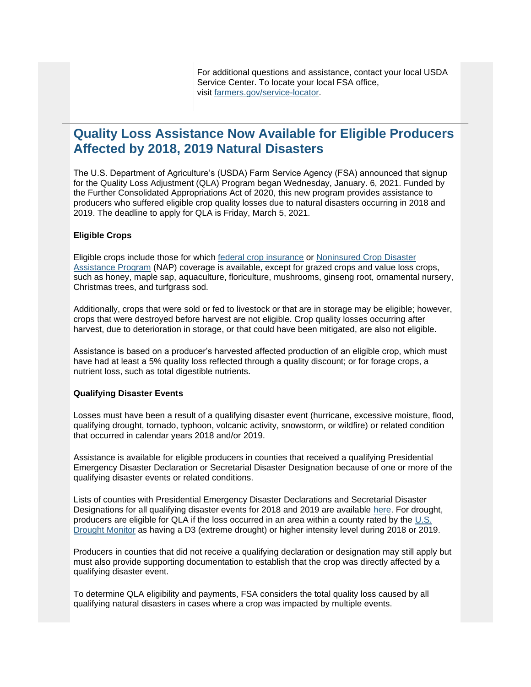## <span id="page-2-0"></span>**Quality Loss Assistance Now Available for Eligible Producers Affected by 2018, 2019 Natural Disasters**

The U.S. Department of Agriculture's (USDA) Farm Service Agency (FSA) announced that signup for the Quality Loss Adjustment (QLA) Program began Wednesday, January. 6, 2021. Funded by the Further Consolidated Appropriations Act of 2020, this new program provides assistance to producers who suffered eligible crop quality losses due to natural disasters occurring in 2018 and 2019. The deadline to apply for QLA is Friday, March 5, 2021.

#### **Eligible Crops**

Eligible crops include those for which [federal crop insurance](https://gcc02.safelinks.protection.outlook.com/?url=http%3A%2F%2Fwww.rma.usda.gov%2F%3Futm_medium%3Demail%26utm_source%3Dgovdelivery&data=04%7C01%7C%7Ca57525926b4043d8e99808d8d4285a16%7Ced5b36e701ee4ebc867ee03cfa0d4697%7C0%7C0%7C637492617068554751%7CUnknown%7CTWFpbGZsb3d8eyJWIjoiMC4wLjAwMDAiLCJQIjoiV2luMzIiLCJBTiI6Ik1haWwiLCJXVCI6Mn0%3D%7C1000&sdata=6pfGnphJkJSUp3keutA%2Fbm83lyXSPvZPiAFqxy3E7lg%3D&reserved=0) or [Noninsured Crop Disaster](https://gcc02.safelinks.protection.outlook.com/?url=https%3A%2F%2Fwww.fsa.usda.gov%2Fprograms-and-services%2Fdisaster-assistance-program%2Fnoninsured-crop-disaster-assistance%2Findex%3Futm_medium%3Demail%26utm_source%3Dgovdelivery&data=04%7C01%7C%7Ca57525926b4043d8e99808d8d4285a16%7Ced5b36e701ee4ebc867ee03cfa0d4697%7C0%7C0%7C637492617068554751%7CUnknown%7CTWFpbGZsb3d8eyJWIjoiMC4wLjAwMDAiLCJQIjoiV2luMzIiLCJBTiI6Ik1haWwiLCJXVCI6Mn0%3D%7C1000&sdata=btQA340bKYt%2FBkMRXoPfTLyVf2vkmmf1S%2FfvN1On0JM%3D&reserved=0)  [Assistance Program](https://gcc02.safelinks.protection.outlook.com/?url=https%3A%2F%2Fwww.fsa.usda.gov%2Fprograms-and-services%2Fdisaster-assistance-program%2Fnoninsured-crop-disaster-assistance%2Findex%3Futm_medium%3Demail%26utm_source%3Dgovdelivery&data=04%7C01%7C%7Ca57525926b4043d8e99808d8d4285a16%7Ced5b36e701ee4ebc867ee03cfa0d4697%7C0%7C0%7C637492617068554751%7CUnknown%7CTWFpbGZsb3d8eyJWIjoiMC4wLjAwMDAiLCJQIjoiV2luMzIiLCJBTiI6Ik1haWwiLCJXVCI6Mn0%3D%7C1000&sdata=btQA340bKYt%2FBkMRXoPfTLyVf2vkmmf1S%2FfvN1On0JM%3D&reserved=0) (NAP) coverage is available, except for grazed crops and value loss crops, such as honey, maple sap, aquaculture, floriculture, mushrooms, ginseng root, ornamental nursery, Christmas trees, and turfgrass sod.

Additionally, crops that were sold or fed to livestock or that are in storage may be eligible; however, crops that were destroyed before harvest are not eligible. Crop quality losses occurring after harvest, due to deterioration in storage, or that could have been mitigated, are also not eligible.

Assistance is based on a producer's harvested affected production of an eligible crop, which must have had at least a 5% quality loss reflected through a quality discount; or for forage crops, a nutrient loss, such as total digestible nutrients.

#### **Qualifying Disaster Events**

Losses must have been a result of a qualifying disaster event (hurricane, excessive moisture, flood, qualifying drought, tornado, typhoon, volcanic activity, snowstorm, or wildfire) or related condition that occurred in calendar years 2018 and/or 2019.

Assistance is available for eligible producers in counties that received a qualifying Presidential Emergency Disaster Declaration or Secretarial Disaster Designation because of one or more of the qualifying disaster events or related conditions.

Lists of counties with Presidential Emergency Disaster Declarations and Secretarial Disaster Designations for all qualifying disaster events for 2018 and 2019 are available [here.](https://www.farmers.gov/recover/whip-plus/eligible-counties?utm_medium=email&utm_source=govdelivery) For drought, producers are eligible for QLA if the loss occurred in an area within a county rated by the [U.S.](https://gcc02.safelinks.protection.outlook.com/?url=https%3A%2F%2Fdroughtmonitor.unl.edu%2F%3Futm_medium%3Demail%26utm_source%3Dgovdelivery&data=04%7C01%7C%7Ca57525926b4043d8e99808d8d4285a16%7Ced5b36e701ee4ebc867ee03cfa0d4697%7C0%7C0%7C637492617068564705%7CUnknown%7CTWFpbGZsb3d8eyJWIjoiMC4wLjAwMDAiLCJQIjoiV2luMzIiLCJBTiI6Ik1haWwiLCJXVCI6Mn0%3D%7C1000&sdata=6U37lysWoTNKznGg%2BX5Yo%2B0U%2FiG8xzme4LNGkNHxkzw%3D&reserved=0)  [Drought Monitor](https://gcc02.safelinks.protection.outlook.com/?url=https%3A%2F%2Fdroughtmonitor.unl.edu%2F%3Futm_medium%3Demail%26utm_source%3Dgovdelivery&data=04%7C01%7C%7Ca57525926b4043d8e99808d8d4285a16%7Ced5b36e701ee4ebc867ee03cfa0d4697%7C0%7C0%7C637492617068564705%7CUnknown%7CTWFpbGZsb3d8eyJWIjoiMC4wLjAwMDAiLCJQIjoiV2luMzIiLCJBTiI6Ik1haWwiLCJXVCI6Mn0%3D%7C1000&sdata=6U37lysWoTNKznGg%2BX5Yo%2B0U%2FiG8xzme4LNGkNHxkzw%3D&reserved=0) as having a D3 (extreme drought) or higher intensity level during 2018 or 2019.

Producers in counties that did not receive a qualifying declaration or designation may still apply but must also provide supporting documentation to establish that the crop was directly affected by a qualifying disaster event.

To determine QLA eligibility and payments, FSA considers the total quality loss caused by all qualifying natural disasters in cases where a crop was impacted by multiple events.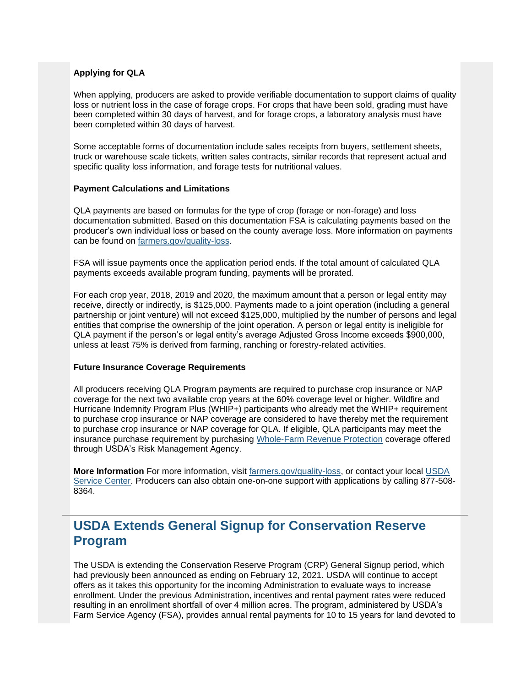#### **Applying for QLA**

When applying, producers are asked to provide verifiable documentation to support claims of quality loss or nutrient loss in the case of forage crops. For crops that have been sold, grading must have been completed within 30 days of harvest, and for forage crops, a laboratory analysis must have been completed within 30 days of harvest.

Some acceptable forms of documentation include sales receipts from buyers, settlement sheets, truck or warehouse scale tickets, written sales contracts, similar records that represent actual and specific quality loss information, and forage tests for nutritional values.

#### **Payment Calculations and Limitations**

QLA payments are based on formulas for the type of crop (forage or non-forage) and loss documentation submitted. Based on this documentation FSA is calculating payments based on the producer's own individual loss or based on the county average loss. More information on payments can be found on [farmers.gov/quality-loss.](http://www.farmers.gov/quality-loss?utm_medium=email&utm_source=govdelivery)

FSA will issue payments once the application period ends. If the total amount of calculated QLA payments exceeds available program funding, payments will be prorated.

For each crop year, 2018, 2019 and 2020, the maximum amount that a person or legal entity may receive, directly or indirectly, is \$125,000. Payments made to a joint operation (including a general partnership or joint venture) will not exceed \$125,000, multiplied by the number of persons and legal entities that comprise the ownership of the joint operation. A person or legal entity is ineligible for QLA payment if the person's or legal entity's average Adjusted Gross Income exceeds \$900,000, unless at least 75% is derived from farming, ranching or forestry-related activities.

#### **Future Insurance Coverage Requirements**

All producers receiving QLA Program payments are required to purchase crop insurance or NAP coverage for the next two available crop years at the 60% coverage level or higher. Wildfire and Hurricane Indemnity Program Plus (WHIP+) participants who already met the WHIP+ requirement to purchase crop insurance or NAP coverage are considered to have thereby met the requirement to purchase crop insurance or NAP coverage for QLA. If eligible, QLA participants may meet the insurance purchase requirement by purchasing [Whole-Farm Revenue Protection](https://gcc02.safelinks.protection.outlook.com/?url=https%3A%2F%2Fwww.rma.usda.gov%2Fen%2FPolicy-and-Procedure%2FInsurance-Plans%2FWhole-Farm-Revenue-Protection%3Futm_medium%3Demail%26utm_source%3Dgovdelivery&data=04%7C01%7C%7Ca57525926b4043d8e99808d8d4285a16%7Ced5b36e701ee4ebc867ee03cfa0d4697%7C0%7C0%7C637492617068564705%7CUnknown%7CTWFpbGZsb3d8eyJWIjoiMC4wLjAwMDAiLCJQIjoiV2luMzIiLCJBTiI6Ik1haWwiLCJXVCI6Mn0%3D%7C1000&sdata=DKJ%2F2eJHPk%2FuO4q0UEcc6%2BNkRFk5YLBKDriTdymUgz8%3D&reserved=0) coverage offered through USDA's Risk Management Agency.

**More Information** For more information, visit [farmers.gov/quality-loss,](http://www.farmers.gov/quality-loss?utm_medium=email&utm_source=govdelivery) or contact your local [USDA](https://www.farmers.gov/service-center-locator?utm_medium=email&utm_source=govdelivery)  [Service Center.](https://www.farmers.gov/service-center-locator?utm_medium=email&utm_source=govdelivery) Producers can also obtain one-on-one support with applications by calling 877-508- 8364.

## <span id="page-3-0"></span>**USDA Extends General Signup for Conservation Reserve Program**

The USDA is extending the Conservation Reserve Program (CRP) General Signup period, which had previously been announced as ending on February 12, 2021. USDA will continue to accept offers as it takes this opportunity for the incoming Administration to evaluate ways to increase enrollment. Under the previous Administration, incentives and rental payment rates were reduced resulting in an enrollment shortfall of over 4 million acres. The program, administered by USDA's Farm Service Agency (FSA), provides annual rental payments for 10 to 15 years for land devoted to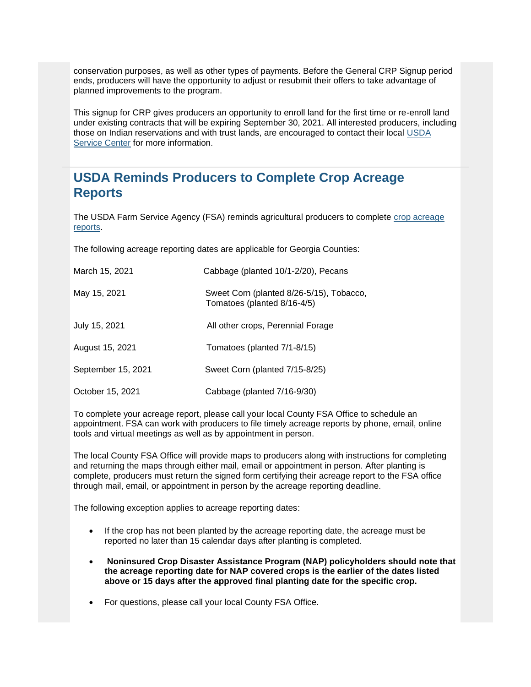conservation purposes, as well as other types of payments. Before the General CRP Signup period ends, producers will have the opportunity to adjust or resubmit their offers to take advantage of planned improvements to the program.

This signup for CRP gives producers an opportunity to enroll land for the first time or re-enroll land under existing contracts that will be expiring September 30, 2021. All interested producers, including those on Indian reservations and with trust lands, are encouraged to contact their local [USDA](https://www.farmers.gov/service-center-locator?utm_medium=email&utm_source=govdelivery)  [Service Center](https://www.farmers.gov/service-center-locator?utm_medium=email&utm_source=govdelivery) for more information.

## <span id="page-4-0"></span>**USDA Reminds Producers to Complete Crop Acreage Reports**

The USDA Farm Service Agency (FSA) reminds agricultural producers to complete [crop acreage](https://www.farmers.gov/crop-acreage-reports?utm_medium=email&utm_source=govdelivery)  [reports.](https://www.farmers.gov/crop-acreage-reports?utm_medium=email&utm_source=govdelivery)

The following acreage reporting dates are applicable for Georgia Counties:

| March 15, 2021     | Cabbage (planted 10/1-2/20), Pecans                                     |
|--------------------|-------------------------------------------------------------------------|
| May 15, 2021       | Sweet Corn (planted 8/26-5/15), Tobacco,<br>Tomatoes (planted 8/16-4/5) |
| July 15, 2021      | All other crops, Perennial Forage                                       |
| August 15, 2021    | Tomatoes (planted 7/1-8/15)                                             |
| September 15, 2021 | Sweet Corn (planted 7/15-8/25)                                          |
| October 15, 2021   | Cabbage (planted 7/16-9/30)                                             |

To complete your acreage report, please call your local County FSA Office to schedule an appointment. FSA can work with producers to file timely acreage reports by phone, email, online tools and virtual meetings as well as by appointment in person.

The local County FSA Office will provide maps to producers along with instructions for completing and returning the maps through either mail, email or appointment in person. After planting is complete, producers must return the signed form certifying their acreage report to the FSA office through mail, email, or appointment in person by the acreage reporting deadline.

The following exception applies to acreage reporting dates:

- If the crop has not been planted by the acreage reporting date, the acreage must be reported no later than 15 calendar days after planting is completed.
- **Noninsured Crop Disaster Assistance Program (NAP) policyholders should note that the acreage reporting date for NAP covered crops is the earlier of the dates listed above or 15 days after the approved final planting date for the specific crop.**
- For questions, please call your local County FSA Office.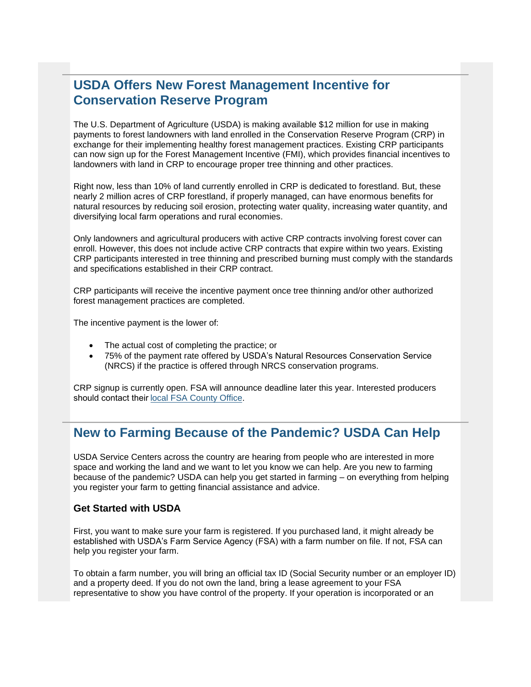## <span id="page-5-0"></span>**USDA Offers New Forest Management Incentive for Conservation Reserve Program**

The U.S. Department of Agriculture (USDA) is making available \$12 million for use in making payments to forest landowners with land enrolled in the Conservation Reserve Program (CRP) in exchange for their implementing healthy forest management practices. Existing CRP participants can now sign up for the Forest Management Incentive (FMI), which provides financial incentives to landowners with land in CRP to encourage proper tree thinning and other practices.

Right now, less than 10% of land currently enrolled in CRP is dedicated to forestland. But, these nearly 2 million acres of CRP forestland, if properly managed, can have enormous benefits for natural resources by reducing soil erosion, protecting water quality, increasing water quantity, and diversifying local farm operations and rural economies.

Only landowners and agricultural producers with active CRP contracts involving forest cover can enroll. However, this does not include active CRP contracts that expire within two years. Existing CRP participants interested in tree thinning and prescribed burning must comply with the standards and specifications established in their CRP contract.

CRP participants will receive the incentive payment once tree thinning and/or other authorized forest management practices are completed.

The incentive payment is the lower of:

- The actual cost of completing the practice; or
- 75% of the payment rate offered by USDA's Natural Resources Conservation Service (NRCS) if the practice is offered through NRCS conservation programs.

CRP signup is currently open. FSA will announce deadline later this year. Interested producers should contact thei[r local FSA County Office.](https://www.farmers.gov/service-center-locator?utm_medium=email&utm_source=govdelivery) 

## <span id="page-5-1"></span>**New to Farming Because of the Pandemic? USDA Can Help**

USDA Service Centers across the country are hearing from people who are interested in more space and working the land and we want to let you know we can help. Are you new to farming because of the pandemic? USDA can help you get started in farming – on everything from helping you register your farm to getting financial assistance and advice.

#### **Get Started with USDA**

First, you want to make sure your farm is registered. If you purchased land, it might already be established with USDA's Farm Service Agency (FSA) with a farm number on file. If not, FSA can help you register your farm.

To obtain a farm number, you will bring an official tax ID (Social Security number or an employer ID) and a property deed. If you do not own the land, bring a lease agreement to your FSA representative to show you have control of the property. If your operation is incorporated or an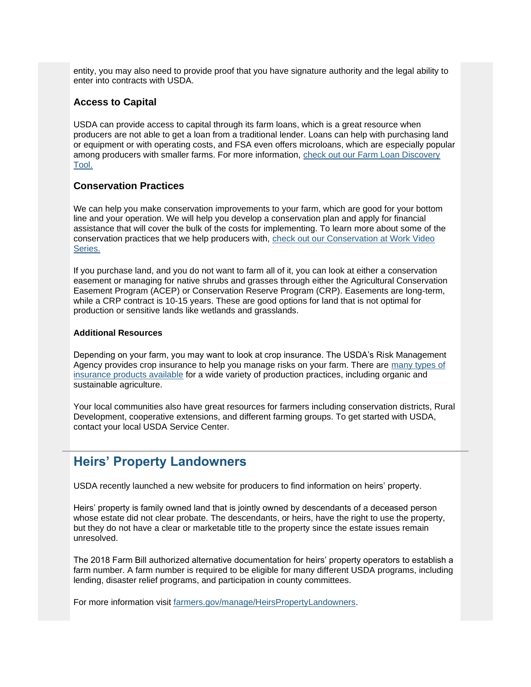entity, you may also need to provide proof that you have signature authority and the legal ability to enter into contracts with USDA.

#### **Access to Capital**

USDA can provide access to capital through its farm loans, which is a great resource when producers are not able to get a loan from a traditional lender. Loans can help with purchasing land or equipment or with operating costs, and FSA even offers microloans, which are especially popular among producers with smaller farms. For more information, [check out our Farm Loan Discovery](https://www.farmers.gov/fund/farm-loan-discovery-tool?utm_medium=email&utm_source=govdelivery)  [Tool.](https://www.farmers.gov/fund/farm-loan-discovery-tool?utm_medium=email&utm_source=govdelivery)

#### **Conservation Practices**

We can help you make conservation improvements to your farm, which are good for your bottom line and your operation. We will help you develop a conservation plan and apply for financial assistance that will cover the bulk of the costs for implementing. To learn more about some of the conservation practices that we help producers with, [check out our Conservation at Work Video](https://www.farmers.gov/conserve/conservation-at-work?utm_medium=email&utm_source=govdelivery)  [Series.](https://www.farmers.gov/conserve/conservation-at-work?utm_medium=email&utm_source=govdelivery)

If you purchase land, and you do not want to farm all of it, you can look at either a conservation easement or managing for native shrubs and grasses through either the Agricultural Conservation Easement Program (ACEP) or Conservation Reserve Program (CRP). Easements are long-term, while a CRP contract is 10-15 years. These are good options for land that is not optimal for production or sensitive lands like wetlands and grasslands.

#### **Additional Resources**

Depending on your farm, you may want to look at crop insurance. The USDA's Risk Management Agency provides crop insurance to help you manage risks on your farm. There are [many types of](https://gcc02.safelinks.protection.outlook.com/?url=https%3A%2F%2Fwww.rma.usda.gov%2FTopics%2FBeginning-Farmers%3Futm_medium%3Demail%26utm_source%3Dgovdelivery&data=04%7C01%7C%7Ca57525926b4043d8e99808d8d4285a16%7Ced5b36e701ee4ebc867ee03cfa0d4697%7C0%7C0%7C637492617068564705%7CUnknown%7CTWFpbGZsb3d8eyJWIjoiMC4wLjAwMDAiLCJQIjoiV2luMzIiLCJBTiI6Ik1haWwiLCJXVCI6Mn0%3D%7C1000&sdata=EoH23s8mYNjmm17ejtvExR7GWdYjRbTDbVsCTZLNz3U%3D&reserved=0)  [insurance products available](https://gcc02.safelinks.protection.outlook.com/?url=https%3A%2F%2Fwww.rma.usda.gov%2FTopics%2FBeginning-Farmers%3Futm_medium%3Demail%26utm_source%3Dgovdelivery&data=04%7C01%7C%7Ca57525926b4043d8e99808d8d4285a16%7Ced5b36e701ee4ebc867ee03cfa0d4697%7C0%7C0%7C637492617068564705%7CUnknown%7CTWFpbGZsb3d8eyJWIjoiMC4wLjAwMDAiLCJQIjoiV2luMzIiLCJBTiI6Ik1haWwiLCJXVCI6Mn0%3D%7C1000&sdata=EoH23s8mYNjmm17ejtvExR7GWdYjRbTDbVsCTZLNz3U%3D&reserved=0) for a wide variety of production practices, including organic and sustainable agriculture.

Your local communities also have great resources for farmers including conservation districts, Rural Development, cooperative extensions, and different farming groups. To get started with USDA, contact your local USDA Service Center.

## <span id="page-6-0"></span>**Heirs' Property Landowners**

USDA recently launched a new website for producers to find information on heirs' property.

Heirs' property is family owned land that is jointly owned by descendants of a deceased person whose estate did not clear probate. The descendants, or heirs, have the right to use the property, but they do not have a clear or marketable title to the property since the estate issues remain unresolved.

The 2018 Farm Bill authorized alternative documentation for heirs' property operators to establish a farm number. A farm number is required to be eligible for many different USDA programs, including lending, disaster relief programs, and participation in county committees.

For more information visit [farmers.gov/manage/HeirsPropertyLandowners.](https://www.farmers.gov/manage/HeirsPropertyLandowners?utm_medium=email&utm_source=govdelivery)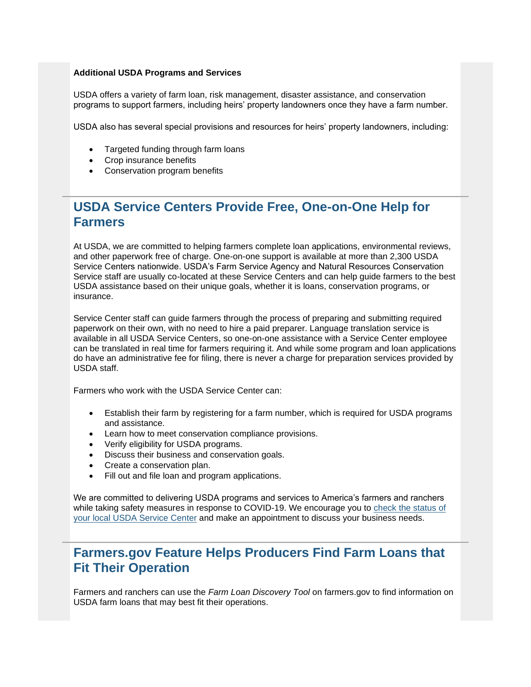#### **Additional USDA Programs and Services**

USDA offers a variety of farm loan, risk management, disaster assistance, and conservation programs to support farmers, including heirs' property landowners once they have a farm number.

USDA also has several special provisions and resources for heirs' property landowners, including:

- Targeted funding through farm loans
- Crop insurance benefits
- Conservation program benefits

## <span id="page-7-0"></span>**USDA Service Centers Provide Free, One-on-One Help for Farmers**

At USDA, we are committed to helping farmers complete loan applications, environmental reviews, and other paperwork free of charge. One-on-one support is available at more than 2,300 USDA Service Centers nationwide. USDA's Farm Service Agency and Natural Resources Conservation Service staff are usually co-located at these Service Centers and can help guide farmers to the best USDA assistance based on their unique goals, whether it is loans, conservation programs, or insurance.

Service Center staff can guide farmers through the process of preparing and submitting required paperwork on their own, with no need to hire a paid preparer. Language translation service is available in all USDA Service Centers, so one-on-one assistance with a Service Center employee can be translated in real time for farmers requiring it. And while some program and loan applications do have an administrative fee for filing, there is never a charge for preparation services provided by USDA staff.

Farmers who work with the USDA Service Center can:

- Establish their farm by registering for a farm number, which is required for USDA programs and assistance.
- Learn how to meet conservation compliance provisions.
- Verify eligibility for USDA programs.
- Discuss their business and conservation goals.
- Create a conservation plan.
- Fill out and file loan and program applications.

We are committed to delivering USDA programs and services to America's farmers and ranchers while taking safety measures in response to COVID-19. We encourage you to [check the status of](https://www.farmers.gov/coronavirus/service-center-status?utm_medium=email&utm_source=govdelivery)  [your local USDA Service Center](https://www.farmers.gov/coronavirus/service-center-status?utm_medium=email&utm_source=govdelivery) and make an appointment to discuss your business needs.

## <span id="page-7-1"></span>**Farmers.gov Feature Helps Producers Find Farm Loans that Fit Their Operation**

Farmers and ranchers can use the *Farm Loan Discovery Tool* on farmers.gov to find information on USDA farm loans that may best fit their operations.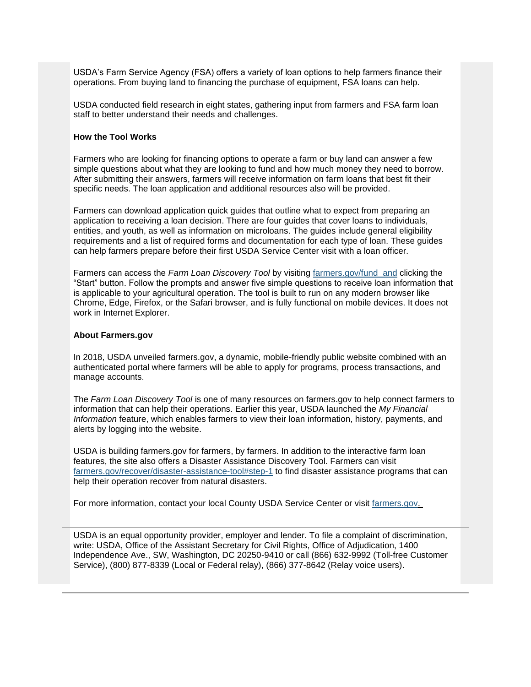USDA's Farm Service Agency (FSA) offers a variety of loan options to help farmers finance their operations. From buying land to financing the purchase of equipment, FSA loans can help.

USDA conducted field research in eight states, gathering input from farmers and FSA farm loan staff to better understand their needs and challenges.

#### **How the Tool Works**

Farmers who are looking for financing options to operate a farm or buy land can answer a few simple questions about what they are looking to fund and how much money they need to borrow. After submitting their answers, farmers will receive information on farm loans that best fit their specific needs. The loan application and additional resources also will be provided.

Farmers can download application quick guides that outline what to expect from preparing an application to receiving a loan decision. There are four guides that cover loans to individuals, entities, and youth, as well as information on microloans. The guides include general eligibility requirements and a list of required forms and documentation for each type of loan. These guides can help farmers prepare before their first USDA Service Center visit with a loan officer.

Farmers can access the *Farm Loan Discovery Tool* by visiting [farmers.gov/fund and](https://www.farmers.gov/fund?utm_medium=email&utm_source=govdelivery) clicking the "Start" button. Follow the prompts and answer five simple questions to receive loan information that is applicable to your agricultural operation. The tool is built to run on any modern browser like Chrome, Edge, Firefox, or the Safari browser, and is fully functional on mobile devices. It does not work in Internet Explorer.

#### **About Farmers.gov**

In 2018, USDA unveiled farmers.gov, a dynamic, mobile-friendly public website combined with an authenticated portal where farmers will be able to apply for programs, process transactions, and manage accounts.

The *Farm Loan Discovery Tool* is one of many resources on farmers.gov to help connect farmers to information that can help their operations. Earlier this year, USDA launched the *My Financial Information* feature, which enables farmers to view their loan information, history, payments, and alerts by logging into the website.

USDA is building farmers.gov for farmers, by farmers. In addition to the interactive farm loan features, the site also offers a Disaster Assistance Discovery Tool. Farmers can visit [farmers.gov/recover/disaster-assistance-tool#step-1](https://www.farmers.gov/recover/disaster-assistance-tool?utm_medium=email&utm_source=govdelivery#step-1) to find disaster assistance programs that can help their operation recover from natural disasters.

For more information, contact your local County USDA Service Center or visit [farmers.gov.](https://www.farmers.gov/?utm_medium=email&utm_source=govdelivery)

USDA is an equal opportunity provider, employer and lender. To file a complaint of discrimination, write: USDA, Office of the Assistant Secretary for Civil Rights, Office of Adjudication, 1400 Independence Ave., SW, Washington, DC 20250-9410 or call (866) 632-9992 (Toll-free Customer Service), (800) 877-8339 (Local or Federal relay), (866) 377-8642 (Relay voice users).